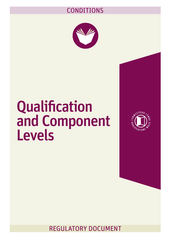### CONDITIONS



# Qualification and Component Levels



REGULATORY DOCUMENT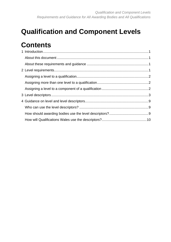## **Qualification and Component Levels**

## **Contents**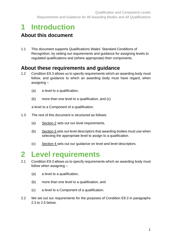# <span id="page-2-0"></span>**1 Introduction**

#### <span id="page-2-1"></span>**About this document**

1.1 This document supports Qualifications Wales' Standard Conditions of Recognition, by setting out requirements and guidance for assigning levels to regulated qualifications and (where appropriate) their components.

#### <span id="page-2-2"></span>**About these requirements and guidance**

- 1.2 Condition E9.3 allows us to specify requirements which an awarding body must follow, and guidance to which an awarding body must have regard, when assigning –
	- (a) a level to a qualification,
	- (b) more than one level to a qualification, and (c)

a level to a Component of a qualification.

- 1.3 The rest of this document is structured as follows:
	- (a) Section 2 sets out our level requirements.
	- (b) Section 3 sets out level descriptors that awarding bodies must use when selecting the appropriate level to assign to a qualification.
	- (c) Section 4 sets out our guidance on level and level descriptors.

## <span id="page-2-3"></span>**2 Level requirements**

- 2.1 Condition E9.3 allows us to specify requirements which an awarding body must follow when assigning –
	- (a) a level to a qualification,
	- (b) more than one level to a qualification, and
	- (c) a level to a Component of a qualification.
- 2.2 We set out our requirements for the purposes of Condition E9.3 in paragraphs 2.3 to 2.5 below.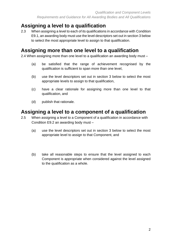#### <span id="page-3-0"></span>**Assigning a level to a qualification**

2.3 When assigning a level to each of its qualifications in accordance with Condition E9.1, an awarding body must use the level descriptors set out in section 3 below to select the most appropriate level to assign to that qualification.

#### <span id="page-3-1"></span>**Assigning more than one level to a qualification**

2.4 When assigning more than one level to a qualification an awarding body must –

- (a) be satisfied that the range of achievement recognised by the qualification is sufficient to span more than one level,
- (b) use the level descriptors set out in section 3 below to select the most appropriate levels to assign to that qualification,
- (c) have a clear rationale for assigning more than one level to that qualification, and
- (d) publish that rationale.

#### <span id="page-3-2"></span>**Assigning a level to a component of a qualification**

- 2.5 When assigning a level to a Component of a qualification in accordance with Condition E9.2 an awarding body must –
	- (a) use the level descriptors set out in section 3 below to select the most appropriate level to assign to that Component, and
	- (b) take all reasonable steps to ensure that the level assigned to each Component is appropriate when considered against the level assigned to the qualification as a whole.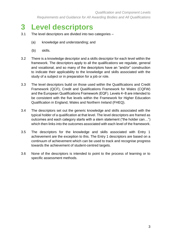## <span id="page-4-0"></span>**3 Level descriptors**

- 3.1 The level descriptors are divided into two categories
	- (a) knowledge and understanding; and
	- (b) skills.
- 3.2 There is a knowledge descriptor and a skills descriptor for each level within the framework. The descriptors apply to all the qualifications we regulate, general and vocational, and so many of the descriptors have an "and/or" construction to indicate their applicability to the knowledge and skills associated with the study of a subject or in preparation for a job or role.
- 3.3 The level descriptors build on those used within the Qualifications and Credit Framework (QCF), Credit and Qualifications Framework for Wales (CQFW) and the European Qualifications Framework (EQF). Levels 4−8 are intended to be consistent with the five levels within the Framework for Higher Education Qualification in England, Wales and Northern Ireland (FHEQ).
- 3.4 The descriptors set out the generic knowledge and skills associated with the typical holder of a qualification at that level. The level descriptors are framed as outcomes and each category starts with a stem statement ("the holder can…") which then links into the outcomes associated with each level of the framework.
- 3.5 The descriptors for the knowledge and skills associated with Entry 1 achievement are the exception to this. The Entry 1 descriptors are based on a continuum of achievement which can be used to track and recognise progress towards the achievement of student-centred targets.
- 3.6 None of the descriptors is intended to point to the process of learning or to specific assessment methods.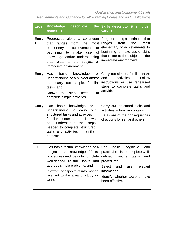*Requirements and Guidance for All Awarding Bodies and All Qualifications*

| <b>Level</b>                   | Knowledge descriptor<br>holder)                                                                                                                                                                                                                                                                          | (the Skills descriptor (the holder<br>can)                                                                                                                                                          |
|--------------------------------|----------------------------------------------------------------------------------------------------------------------------------------------------------------------------------------------------------------------------------------------------------------------------------------------------------|-----------------------------------------------------------------------------------------------------------------------------------------------------------------------------------------------------|
| <b>Entry</b><br>1              | Progresses along a continuum<br>that<br>from the<br>most<br>ranges<br>elementary of achievements<br>to<br>of<br>beginning to make<br>use<br>knowledge and/or understanding<br>relate to the subject<br>that<br>- or<br>immediate environment.                                                            | Progress along a continuum that<br>from<br>the<br>ranges<br>most<br>elementary of achievements to<br>beginning to make use of skills<br>that relate to the subject or the<br>immediate environment. |
| <b>Entry</b><br>$\overline{2}$ | basic<br>knowledge<br>Has<br>or<br>understanding of a subject and/or<br>can carry out simple, familiar<br>tasks; and<br>Knows the steps needed<br>to<br>complete simple activities.                                                                                                                      | Carry out simple, familiar tasks<br>and<br>activities.<br>Follow<br>instructions or use rehearsed<br>steps to complete tasks and<br>activities.                                                     |
| <b>Entry</b><br>3              | basic knowledge<br>Has<br>and<br>understanding<br>to<br>carry<br>out<br>structured tasks and activities in<br>familiar contexts; and Knows<br>and understands the steps<br>needed to complete structured<br>tasks and activities in familiar<br>contexts.                                                | Carry out structured tasks and<br>activities in familiar contexts.<br>Be aware of the consequences<br>of actions for self and others.                                                               |
| L1                             | Has basic factual knowledge of a Use<br>subject and/or knowledge of facts,   practical skills to complete well-<br>procedures and ideas to complete<br>well-defined routine tasks and<br>address simple problems; and<br>Is aware of aspects of information<br>relevant to the area of study or<br>work. | basic<br>cognitive<br>and<br>defined<br>routine<br>tasks<br>and<br>procedures.<br><b>Select</b><br>relevant<br>and<br>use<br>information.<br>Identify whether actions have<br>been effective.       |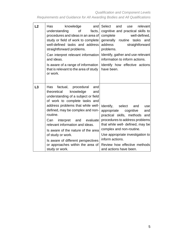*Qualification and Component Levels Requirements and Guidance for All Awarding Bodies and All Qualifications*

| L <sub>2</sub> | knowledge<br>Has<br>and<br>understanding<br>0f<br>facts,<br>procedures and ideas in an area of<br>study or field of work to complete<br>well-defined tasks and address<br>straightforward problems.<br>Can interpret relevant information<br>and ideas.<br>Is aware of a range of information<br>that is relevant to the area of study<br>or work.                                                                                                           | Select<br>and<br>relevant<br>use<br>cognitive and practical skills to<br>complete<br>well-defined.<br>generally routine<br>tasks<br>and<br>address<br>straightforward<br>problems.<br>Identify, gather and use relevant<br>information to inform actions.<br>Identify how effective actions<br>have been.                |
|----------------|--------------------------------------------------------------------------------------------------------------------------------------------------------------------------------------------------------------------------------------------------------------------------------------------------------------------------------------------------------------------------------------------------------------------------------------------------------------|--------------------------------------------------------------------------------------------------------------------------------------------------------------------------------------------------------------------------------------------------------------------------------------------------------------------------|
| L3             | factual, procedural<br>Has<br>and<br>theoretical<br>knowledge<br>and<br>understanding of a subject or field<br>of work to complete tasks and<br>address problems that while well-<br>defined, may be complex and non-<br>routine.<br>Can<br>interpret and evaluate<br>relevant information and ideas.<br>Is aware of the nature of the area<br>of study or work.<br>Is aware of different perspectives<br>or approaches within the area of<br>study or work. | Identify, select<br>and<br>use<br>appropriate<br>and<br>cognitive<br>practical skills, methods<br>and<br>procedures to address problems<br>that while well- defined, may be<br>complex and non-routine.<br>Use appropriate investigation to<br>inform actions.<br>Review how effective methods<br>and actions have been. |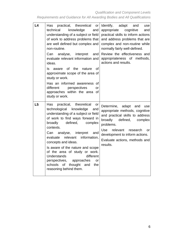*Qualification and Component Levels Requirements and Guidance for All Awarding Bodies and All Qualifications*

| L <sub>4</sub> | practical, theoretical<br><b>Has</b><br>or<br>technical<br>knowledge<br>and<br>understanding of a subject or field<br>of work to address problems that<br>are well defined but complex and<br>non-routine.<br>Can analyse, interpret<br>and<br>evaluate relevant information and<br>ideas.<br>aware of the<br>nature<br><b>of</b><br>ls.<br>approximate scope of the area of<br>study or work.<br>Has an informed awareness of<br>different<br>perspectives<br>or<br>approaches within the area of<br>study or work. | Identify,<br>adapt<br>and<br>use<br>appropriate<br>cognitive<br>and<br>practical skills to inform actions<br>and address problems that are<br>complex and non-routine while<br>normally fairly well-defined.<br>Review the effectiveness and<br>appropriateness of methods,<br>actions and results. |
|----------------|----------------------------------------------------------------------------------------------------------------------------------------------------------------------------------------------------------------------------------------------------------------------------------------------------------------------------------------------------------------------------------------------------------------------------------------------------------------------------------------------------------------------|-----------------------------------------------------------------------------------------------------------------------------------------------------------------------------------------------------------------------------------------------------------------------------------------------------|
| L5             | Has<br>practical, theoretical<br>or<br>technological knowledge<br>and<br>understanding of a subject or field<br>of work to find ways forward in<br>broadly<br>defined,<br>complex<br>contexts.<br>Can<br>analyse, interpret<br>and<br>information,<br>relevant<br>evaluate<br>concepts and ideas.<br>Is aware of the nature and scope<br>of the area of study or work.<br>Understands<br>different<br>perspectives, approaches<br>or<br>schools<br>of<br>thought and<br>the<br>reasoning behind them.                | Determine, adapt and<br>use<br>appropriate methods, cognitive<br>and practical skills to address<br>broadly<br>defined,<br>complex<br>problems.<br>Use<br>relevant research<br><b>or</b><br>development to inform actions.<br>Evaluate actions, methods and<br>results.                             |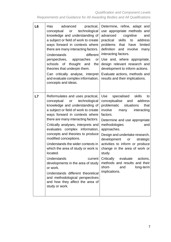| L <sub>6</sub> | practical,<br>Has<br>advanced<br>technological<br>conceptual<br>or<br>knowledge and understanding of<br>a subject or field of work to create                                                                                                                                                                                                                                                                                                                                                                                                                                                                                                                  | Determine, refine, adapt and<br>use appropriate methods and<br>advanced<br>cognitive<br>and<br>practical<br>skills to<br>address                                                                                                                                                                                                                                                                                                                                                                   |
|----------------|---------------------------------------------------------------------------------------------------------------------------------------------------------------------------------------------------------------------------------------------------------------------------------------------------------------------------------------------------------------------------------------------------------------------------------------------------------------------------------------------------------------------------------------------------------------------------------------------------------------------------------------------------------------|----------------------------------------------------------------------------------------------------------------------------------------------------------------------------------------------------------------------------------------------------------------------------------------------------------------------------------------------------------------------------------------------------------------------------------------------------------------------------------------------------|
|                | ways forward in contexts where<br>there are many interacting factors.<br><b>Understands</b><br>different<br>perspectives, approaches<br>or<br>schools<br>of<br>thought and<br>the<br>theories that underpin them.<br>Can critically analyse, interpret<br>and evaluate complex information,<br>concepts and ideas.                                                                                                                                                                                                                                                                                                                                            | problems<br>that<br>limited<br>have<br>definition<br>and involve<br>many<br>interacting factors.<br>Use and, where appropriate,<br>design relevant research and<br>development to inform actions.<br>Evaluate actions, methods and<br>results and their implications.                                                                                                                                                                                                                              |
| L7             | Reformulates and uses practical,<br>conceptual<br>technological<br>or<br>knowledge and understanding of<br>a subject or field of work to create<br>ways forward in contexts where<br>there are many interacting factors.<br>Critically analyses, interprets and<br>evaluates complex information,<br>concepts and theories to produce<br>modified conceptions.<br>Understands the wider contexts in<br>which the area of study or work is<br>located.<br>Understands<br>current<br>developments in the area of study<br>or work.<br>Understands different theoretical<br>and methodological perspectives<br>and how they affect the area of<br>study or work. | Use<br>specialised<br>skills<br>to<br>conceptualise and<br>address<br>problematic situations<br>that<br>involve<br>interacting<br>many<br>factors.<br>Determine and use appropriate<br>methodologies<br>and<br>approaches.<br>Design and undertake research,<br>development<br>strategic<br>or<br>activities to inform or produce<br>change in the area of work or<br>study.<br>Critically<br>evaluate<br>actions,<br>methods and results and their<br>short-<br>and<br>long-term<br>implications. |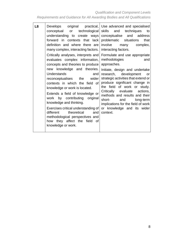*Qualification and Component Levels Requirements and Guidance for All Awarding Bodies and All Qualifications*

| L <sub>8</sub> | Develops original practical, Use advanced and specialised<br>conceptual or technological skills and<br>understanding to create ways<br>forward in contexts that lack<br>definition and where there are<br>many complex, interacting factors.<br>Critically analyses, interprets and<br>evaluates complex information,<br>concepts and theories to produce<br>new knowledge and theories.<br>Understands<br>and<br>wider<br>reconceptualises the<br>contexts in which the field of<br>knowledge or work is located.<br>Extends a field of knowledge or<br>work by contributing original<br>knowledge and thinking.<br>Exercises critical understanding of<br>theoretical<br>different<br>and<br>methodological perspectives and<br>how they affect the field of<br>knowledge or work. | techniques<br>to<br>conceptualise and address<br>problematic situations<br>that<br>involve<br>complex,<br>many<br>interacting factors.<br>Formulate and use appropriate<br>methodologies<br>and<br>approaches.<br>Initiate, design and undertake<br>research, development<br>or<br>strategic activities that extend or<br>produce significant change in<br>the field of work or study.<br>Critically evaluate actions,<br>methods and results and their<br>short-<br>and<br>long-term<br>implications for the field of work<br>or knowledge and its wider<br>context. |
|----------------|--------------------------------------------------------------------------------------------------------------------------------------------------------------------------------------------------------------------------------------------------------------------------------------------------------------------------------------------------------------------------------------------------------------------------------------------------------------------------------------------------------------------------------------------------------------------------------------------------------------------------------------------------------------------------------------------------------------------------------------------------------------------------------------|-----------------------------------------------------------------------------------------------------------------------------------------------------------------------------------------------------------------------------------------------------------------------------------------------------------------------------------------------------------------------------------------------------------------------------------------------------------------------------------------------------------------------------------------------------------------------|
|----------------|--------------------------------------------------------------------------------------------------------------------------------------------------------------------------------------------------------------------------------------------------------------------------------------------------------------------------------------------------------------------------------------------------------------------------------------------------------------------------------------------------------------------------------------------------------------------------------------------------------------------------------------------------------------------------------------------------------------------------------------------------------------------------------------|-----------------------------------------------------------------------------------------------------------------------------------------------------------------------------------------------------------------------------------------------------------------------------------------------------------------------------------------------------------------------------------------------------------------------------------------------------------------------------------------------------------------------------------------------------------------------|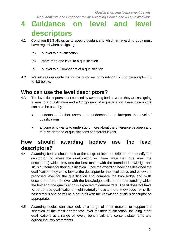# <span id="page-10-0"></span>**4 Guidance on level and level descriptors**

- 4.1 Condition E9.3 allows us to specify guidance to which an awarding body must have regard when assigning –
	- (a) a level to a qualification
	- (b) more than one level to a qualification
	- (c) a level to a Component of a qualification
- 4.2 We set out our guidance for the purposes of Condition E9.3 in paragraphs 4.3 to 4.8 below.

#### <span id="page-10-1"></span>**Who can use the level descriptors?**

- 4.3 The level descriptors must be used by awarding bodies when they are assigning a level to a qualification and a Component of a qualification. Level descriptors can also be used by –
	- students and other users to understand and interpret the level of qualifications,
	- anyone who wants to understand more about the difference between and relative demand of qualifications at different levels.

#### <span id="page-10-2"></span>**How should awarding bodies use the level descriptors?**

- 4.4 Awarding bodies should look at the range of level descriptors and identify the descriptor (or where the qualification will have more than one level, the descriptors) which provides the best match with the intended knowledge and skills outcomes for their qualification. Once the awarding body has designed the qualification, they could look at the descriptor for the level above and below the proposed level for the qualification and compare the knowledge and skills descriptors for each level with the knowledge, skills and understanding which the holder of the qualification is expected to demonstrate. The fit does not have to be perfect; qualifications might naturally have a more knowledge- or skillsbased focus and so will be a better fit with the knowledge or skills descriptor as appropriate.
- 4.5 Awarding bodies can also look at a range of other material to support the selection of the most appropriate level for their qualification including other qualifications at a range of levels, benchmark and content statements and agreed industry statements.